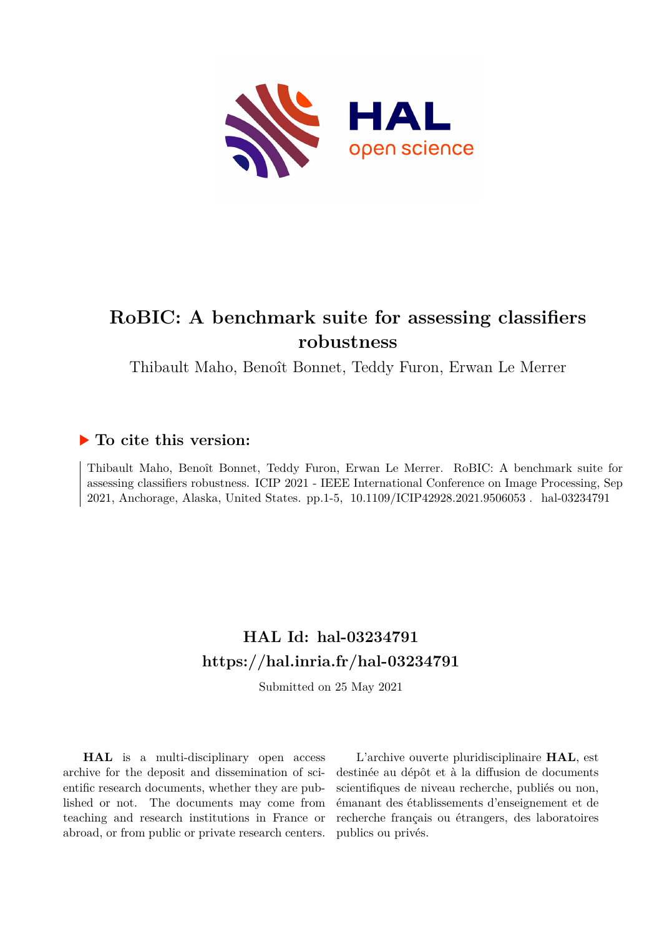

# **RoBIC: A benchmark suite for assessing classifiers robustness**

Thibault Maho, Benoît Bonnet, Teddy Furon, Erwan Le Merrer

# **To cite this version:**

Thibault Maho, Benoît Bonnet, Teddy Furon, Erwan Le Merrer. RoBIC: A benchmark suite for assessing classifiers robustness. ICIP 2021 - IEEE International Conference on Image Processing, Sep 2021, Anchorage, Alaska, United States. pp.1-5, 10.1109/ICIP42928.2021.9506053. hal-03234791

# **HAL Id: hal-03234791 <https://hal.inria.fr/hal-03234791>**

Submitted on 25 May 2021

**HAL** is a multi-disciplinary open access archive for the deposit and dissemination of scientific research documents, whether they are published or not. The documents may come from teaching and research institutions in France or abroad, or from public or private research centers.

L'archive ouverte pluridisciplinaire **HAL**, est destinée au dépôt et à la diffusion de documents scientifiques de niveau recherche, publiés ou non, émanant des établissements d'enseignement et de recherche français ou étrangers, des laboratoires publics ou privés.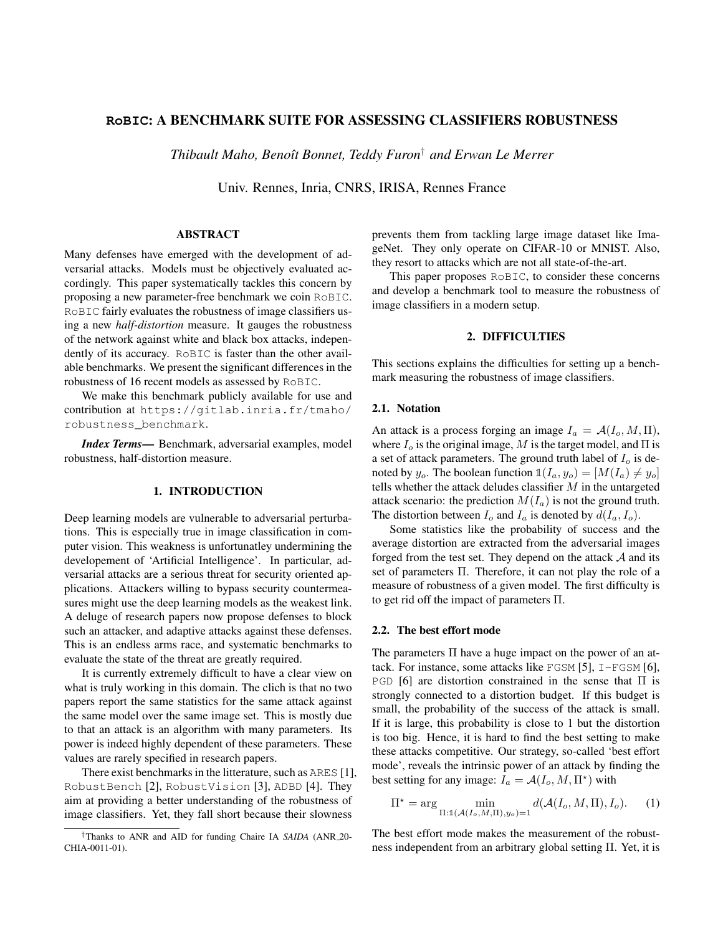### **RoBIC**: A BENCHMARK SUITE FOR ASSESSING CLASSIFIERS ROBUSTNESS

*Thibault Maho, Benoˆıt Bonnet, Teddy Furon*† *and Erwan Le Merrer*

Univ. Rennes, Inria, CNRS, IRISA, Rennes France

### ABSTRACT

Many defenses have emerged with the development of adversarial attacks. Models must be objectively evaluated accordingly. This paper systematically tackles this concern by proposing a new parameter-free benchmark we coin RoBIC. RoBIC fairly evaluates the robustness of image classifiers using a new *half-distortion* measure. It gauges the robustness of the network against white and black box attacks, independently of its accuracy. RoBIC is faster than the other available benchmarks. We present the significant differences in the robustness of 16 recent models as assessed by RoBIC.

We make this benchmark publicly available for use and contribution at https://gitlab.inria.fr/tmaho/ robustness\_benchmark.

*Index Terms*— Benchmark, adversarial examples, model robustness, half-distortion measure.

# 1. INTRODUCTION

Deep learning models are vulnerable to adversarial perturbations. This is especially true in image classification in computer vision. This weakness is unfortunatley undermining the developement of 'Artificial Intelligence'. In particular, adversarial attacks are a serious threat for security oriented applications. Attackers willing to bypass security countermeasures might use the deep learning models as the weakest link. A deluge of research papers now propose defenses to block such an attacker, and adaptive attacks against these defenses. This is an endless arms race, and systematic benchmarks to evaluate the state of the threat are greatly required.

It is currently extremely difficult to have a clear view on what is truly working in this domain. The clich is that no two papers report the same statistics for the same attack against the same model over the same image set. This is mostly due to that an attack is an algorithm with many parameters. Its power is indeed highly dependent of these parameters. These values are rarely specified in research papers.

There exist benchmarks in the litterature, such as ARES [1], RobustBench [2], RobustVision [3], ADBD [4]. They aim at providing a better understanding of the robustness of image classifiers. Yet, they fall short because their slowness

prevents them from tackling large image dataset like ImageNet. They only operate on CIFAR-10 or MNIST. Also, they resort to attacks which are not all state-of-the-art.

This paper proposes RoBIC, to consider these concerns and develop a benchmark tool to measure the robustness of image classifiers in a modern setup.

#### 2. DIFFICULTIES

This sections explains the difficulties for setting up a benchmark measuring the robustness of image classifiers.

#### 2.1. Notation

An attack is a process forging an image  $I_a = \mathcal{A}(I_o, M, \Pi)$ , where  $I_0$  is the original image, M is the target model, and  $\Pi$  is a set of attack parameters. The ground truth label of  $I<sub>o</sub>$  is denoted by  $y_o$ . The boolean function  $\mathbb{1}(I_a, y_o) = [M(I_a) \neq y_o]$ tells whether the attack deludes classifier  $M$  in the untargeted attack scenario: the prediction  $M(I_a)$  is not the ground truth. The distortion between  $I_o$  and  $I_a$  is denoted by  $d(I_a, I_o)$ .

Some statistics like the probability of success and the average distortion are extracted from the adversarial images forged from the test set. They depend on the attack A and its set of parameters Π. Therefore, it can not play the role of a measure of robustness of a given model. The first difficulty is to get rid off the impact of parameters Π.

## 2.2. The best effort mode

The parameters Π have a huge impact on the power of an attack. For instance, some attacks like FGSM [5],  $I-FGSM$  [6], PGD [6] are distortion constrained in the sense that Π is strongly connected to a distortion budget. If this budget is small, the probability of the success of the attack is small. If it is large, this probability is close to 1 but the distortion is too big. Hence, it is hard to find the best setting to make these attacks competitive. Our strategy, so-called 'best effort mode', reveals the intrinsic power of an attack by finding the best setting for any image:  $I_a = \mathcal{A}(I_o, M, \Pi^*)$  with

$$
\Pi^* = \arg\min_{\Pi:\mathbb{1}(\mathcal{A}(I_o,M,\Pi),y_o)=1} d(\mathcal{A}(I_o,M,\Pi),I_o).
$$
 (1)

The best effort mode makes the measurement of the robustness independent from an arbitrary global setting Π. Yet, it is

<sup>†</sup>Thanks to ANR and AID for funding Chaire IA *SAIDA* (ANR 20- CHIA-0011-01).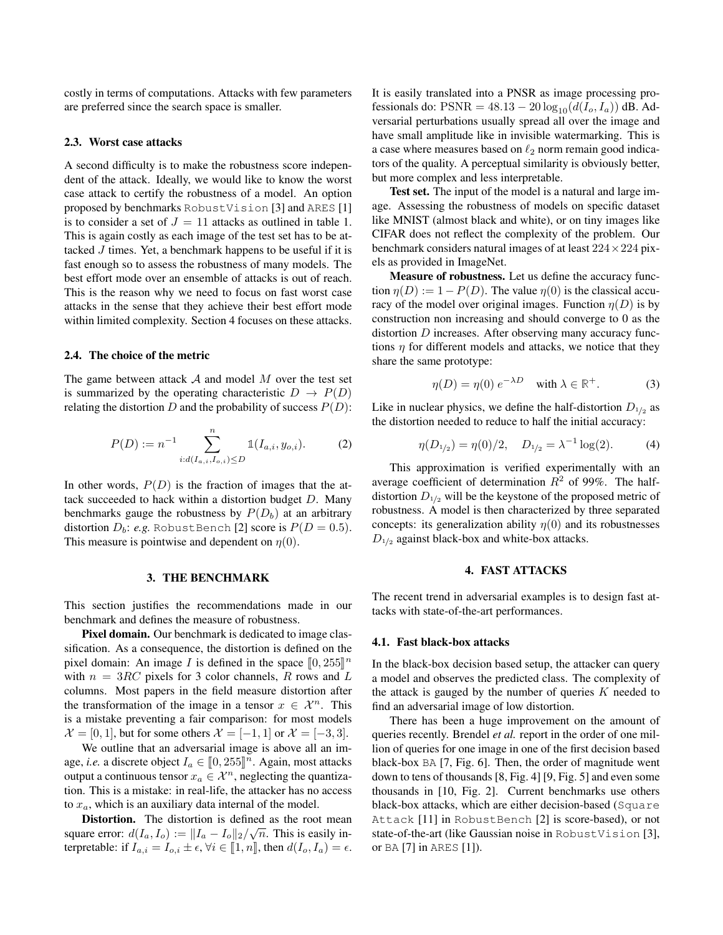costly in terms of computations. Attacks with few parameters are preferred since the search space is smaller.

#### 2.3. Worst case attacks

A second difficulty is to make the robustness score independent of the attack. Ideally, we would like to know the worst case attack to certify the robustness of a model. An option proposed by benchmarks RobustVision [3] and ARES [1] is to consider a set of  $J = 11$  attacks as outlined in table 1. This is again costly as each image of the test set has to be attacked  $J$  times. Yet, a benchmark happens to be useful if it is fast enough so to assess the robustness of many models. The best effort mode over an ensemble of attacks is out of reach. This is the reason why we need to focus on fast worst case attacks in the sense that they achieve their best effort mode within limited complexity. Section 4 focuses on these attacks.

#### 2.4. The choice of the metric

The game between attack  $A$  and model  $M$  over the test set is summarized by the operating characteristic  $D \rightarrow P(D)$ relating the distortion D and the probability of success  $P(D)$ :

$$
P(D) := n^{-1} \sum_{i:d(I_{a,i},I_{o,i}) \le D}^{n} \mathbb{1}(I_{a,i},y_{o,i}).
$$
 (2)

In other words,  $P(D)$  is the fraction of images that the attack succeeded to hack within a distortion budget  $D$ . Many benchmarks gauge the robustness by  $P(D_b)$  at an arbitrary distortion  $D_b$ : *e.g.* RobustBench [2] score is  $P(D = 0.5)$ . This measure is pointwise and dependent on  $\eta(0)$ .

#### 3. THE BENCHMARK

This section justifies the recommendations made in our benchmark and defines the measure of robustness.

Pixel domain. Our benchmark is dedicated to image classification. As a consequence, the distortion is defined on the pixel domain: An image I is defined in the space  $[0, 255]^n$ <br>with  $n = 3BC$  pixels for 3 color channels. B rows and I with  $n = 3RC$  pixels for 3 color channels, R rows and L columns. Most papers in the field measure distortion after the transformation of the image in a tensor  $x \in \mathcal{X}^n$ . This is a mistake preventing a fair comparison: for most models  $\mathcal{X} = [0, 1]$ , but for some others  $\mathcal{X} = [-1, 1]$  or  $\mathcal{X} = [-3, 3]$ .

We outline that an adversarial image is above all an image, *i.e.* a discrete object  $I_a \in [0, 255]^n$ . Again, most attacks output a continuous tensor  $x_a \in \mathcal{X}^n$ , neglecting the quantization. This is a mistake: in real-life, the attacker has no access to  $x_a$ , which is an auxiliary data internal of the model.

**Distortion.** The distortion is defined as the root mean square error:  $d(I_a, I_o) := ||I_a - I_o||_2 / \sqrt{n}$ . This is easily interpretable: if  $I_{a,i} = I_{o,i} \pm \epsilon$ ,  $\forall i \in [\![1,n]\!]$ , then  $d(I_o, I_a) = \epsilon$ .

It is easily translated into a PNSR as image processing professionals do:  $PSNR = 48.13 - 20 \log_{10}(d(I_o, I_a))$  dB. Adversarial perturbations usually spread all over the image and have small amplitude like in invisible watermarking. This is a case where measures based on  $\ell_2$  norm remain good indicators of the quality. A perceptual similarity is obviously better, but more complex and less interpretable.

Test set. The input of the model is a natural and large image. Assessing the robustness of models on specific dataset like MNIST (almost black and white), or on tiny images like CIFAR does not reflect the complexity of the problem. Our benchmark considers natural images of at least  $224 \times 224$  pixels as provided in ImageNet.

Measure of robustness. Let us define the accuracy function  $\eta(D) := 1 - P(D)$ . The value  $\eta(0)$  is the classical accuracy of the model over original images. Function  $\eta(D)$  is by construction non increasing and should converge to 0 as the distortion D increases. After observing many accuracy functions  $\eta$  for different models and attacks, we notice that they share the same prototype:

$$
\eta(D) = \eta(0) e^{-\lambda D} \quad \text{with } \lambda \in \mathbb{R}^+. \tag{3}
$$

Like in nuclear physics, we define the half-distortion  $D_{1/2}$  as the distortion needed to reduce to half the initial accuracy:

$$
\eta(D_{1/2}) = \eta(0)/2, \quad D_{1/2} = \lambda^{-1} \log(2). \tag{4}
$$

This approximation is verified experimentally with an average coefficient of determination  $R^2$  of 99%. The halfdistortion  $D_{1/2}$  will be the keystone of the proposed metric of robustness. A model is then characterized by three separated concepts: its generalization ability  $\eta(0)$  and its robustnesses  $D_{1/2}$  against black-box and white-box attacks.

#### 4. FAST ATTACKS

The recent trend in adversarial examples is to design fast attacks with state-of-the-art performances.

#### 4.1. Fast black-box attacks

In the black-box decision based setup, the attacker can query a model and observes the predicted class. The complexity of the attack is gauged by the number of queries  $K$  needed to find an adversarial image of low distortion.

There has been a huge improvement on the amount of queries recently. Brendel *et al.* report in the order of one million of queries for one image in one of the first decision based black-box BA [7, Fig. 6]. Then, the order of magnitude went down to tens of thousands [8, Fig. 4] [9, Fig. 5] and even some thousands in [10, Fig. 2]. Current benchmarks use others black-box attacks, which are either decision-based (Square Attack [11] in RobustBench [2] is score-based), or not state-of-the-art (like Gaussian noise in RobustVision [3], or BA [7] in ARES [1]).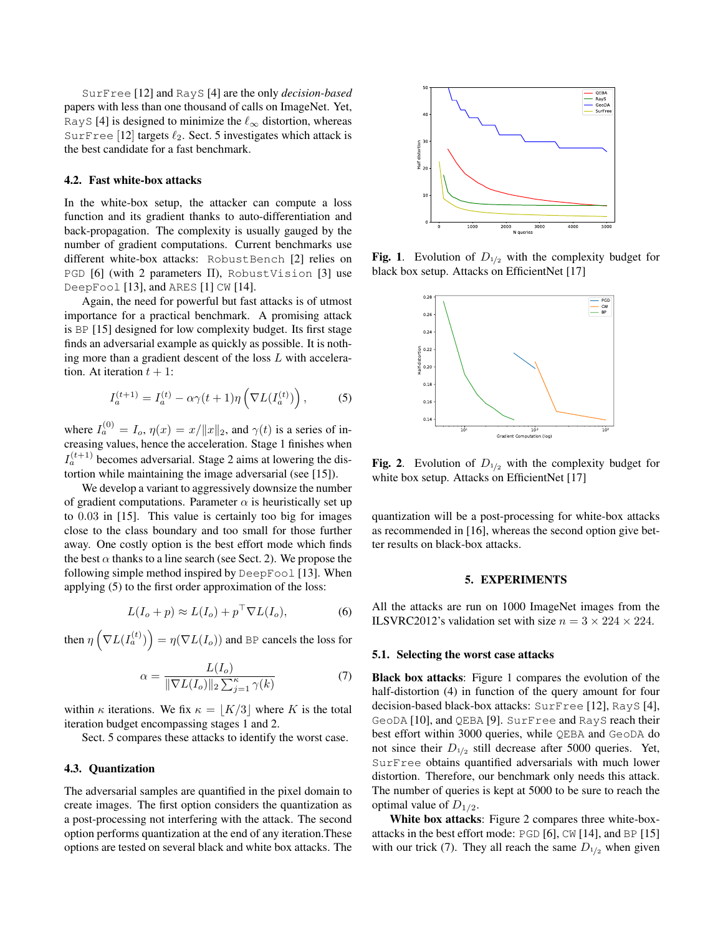SurFree [12] and RayS [4] are the only *decision-based* papers with less than one thousand of calls on ImageNet. Yet, RayS [4] is designed to minimize the  $\ell_{\infty}$  distortion, whereas SurFree [12] targets  $\ell_2$ . Sect. 5 investigates which attack is the best candidate for a fast benchmark.

#### 4.2. Fast white-box attacks

In the white-box setup, the attacker can compute a loss function and its gradient thanks to auto-differentiation and back-propagation. The complexity is usually gauged by the number of gradient computations. Current benchmarks use different white-box attacks: RobustBench [2] relies on PGD [6] (with 2 parameters Π), RobustVision [3] use DeepFool [13], and ARES [1] CW [14].

Again, the need for powerful but fast attacks is of utmost importance for a practical benchmark. A promising attack is BP [15] designed for low complexity budget. Its first stage finds an adversarial example as quickly as possible. It is nothing more than a gradient descent of the loss L with acceleration. At iteration  $t + 1$ :

$$
I_a^{(t+1)} = I_a^{(t)} - \alpha \gamma (t+1) \eta \left( \nabla L(I_a^{(t)}) \right), \tag{5}
$$

where  $I_a^{(0)} = I_o$ ,  $\eta(x) = x/||x||_2$ , and  $\gamma(t)$  is a series of increasing values, hence the acceleration. Stage 1 finishes when  $I_a^{(t+1)}$  becomes adversarial. Stage 2 aims at lowering the distortion while maintaining the image adversarial (see [15]).

We develop a variant to aggressively downsize the number of gradient computations. Parameter  $\alpha$  is heuristically set up to 0.03 in [15]. This value is certainly too big for images close to the class boundary and too small for those further away. One costly option is the best effort mode which finds the best  $\alpha$  thanks to a line search (see Sect. 2). We propose the following simple method inspired by DeepFool [13]. When applying (5) to the first order approximation of the loss:

$$
L(I_o + p) \approx L(I_o) + p^{\top} \nabla L(I_o), \tag{6}
$$

then  $\eta\left(\nabla L(I_a^{(t)})\right) = \eta(\nabla L(I_o))$  and BP cancels the loss for

$$
\alpha = \frac{L(I_o)}{\|\nabla L(I_o)\|_2 \sum_{j=1}^{\kappa} \gamma(k)}\tag{7}
$$

within  $\kappa$  iterations. We fix  $\kappa = |K/3|$  where K is the total iteration budget encompassing stages 1 and 2.

Sect. 5 compares these attacks to identify the worst case.

#### 4.3. Quantization

The adversarial samples are quantified in the pixel domain to create images. The first option considers the quantization as a post-processing not interfering with the attack. The second option performs quantization at the end of any iteration.These options are tested on several black and white box attacks. The



**Fig. 1.** Evolution of  $D_{1/2}$  with the complexity budget for black box setup. Attacks on EfficientNet [17]



Fig. 2. Evolution of  $D_{1/2}$  with the complexity budget for white box setup. Attacks on EfficientNet [17]

quantization will be a post-processing for white-box attacks as recommended in [16], whereas the second option give better results on black-box attacks.

#### 5. EXPERIMENTS

All the attacks are run on 1000 ImageNet images from the ILSVRC2012's validation set with size  $n = 3 \times 224 \times 224$ .

#### 5.1. Selecting the worst case attacks

Black box attacks: Figure 1 compares the evolution of the half-distortion (4) in function of the query amount for four decision-based black-box attacks: SurFree [12], RayS [4], GeoDA [10], and QEBA [9]. SurFree and RayS reach their best effort within 3000 queries, while QEBA and GeoDA do not since their  $D_{1/2}$  still decrease after 5000 queries. Yet, SurFree obtains quantified adversarials with much lower distortion. Therefore, our benchmark only needs this attack. The number of queries is kept at 5000 to be sure to reach the optimal value of  $D_{1/2}$ .

White box attacks: Figure 2 compares three white-boxattacks in the best effort mode: PGD [6], CW [14], and BP [15] with our trick (7). They all reach the same  $D_{1/2}$  when given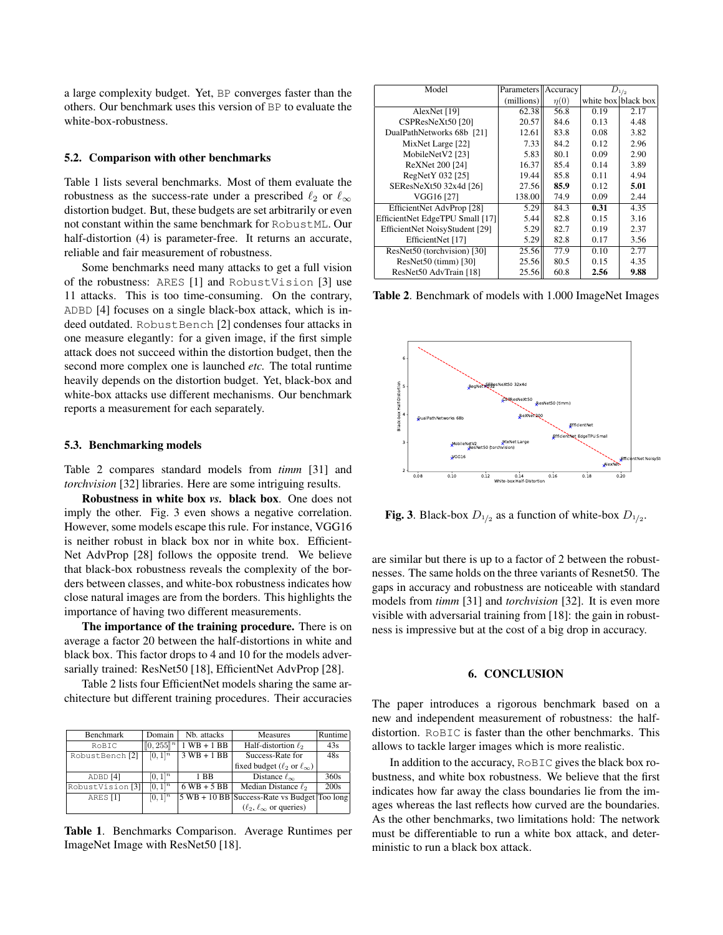a large complexity budget. Yet, BP converges faster than the others. Our benchmark uses this version of BP to evaluate the white-box-robustness.

#### 5.2. Comparison with other benchmarks

Table 1 lists several benchmarks. Most of them evaluate the robustness as the success-rate under a prescribed  $\ell_2$  or  $\ell_{\infty}$ distortion budget. But, these budgets are set arbitrarily or even not constant within the same benchmark for RobustML. Our half-distortion (4) is parameter-free. It returns an accurate, reliable and fair measurement of robustness.

Some benchmarks need many attacks to get a full vision of the robustness: ARES [1] and RobustVision [3] use 11 attacks. This is too time-consuming. On the contrary, ADBD [4] focuses on a single black-box attack, which is indeed outdated. RobustBench [2] condenses four attacks in one measure elegantly: for a given image, if the first simple attack does not succeed within the distortion budget, then the second more complex one is launched *etc.* The total runtime heavily depends on the distortion budget. Yet, black-box and white-box attacks use different mechanisms. Our benchmark reports a measurement for each separately.

#### 5.3. Benchmarking models

Table 2 compares standard models from *timm* [31] and *torchvision* [32] libraries. Here are some intriguing results.

Robustness in white box *vs.* black box. One does not imply the other. Fig. 3 even shows a negative correlation. However, some models escape this rule. For instance, VGG16 is neither robust in black box nor in white box. Efficient-Net AdvProp [28] follows the opposite trend. We believe that black-box robustness reveals the complexity of the borders between classes, and white-box robustness indicates how close natural images are from the borders. This highlights the importance of having two different measurements.

The importance of the training procedure. There is on average a factor 20 between the half-distortions in white and black box. This factor drops to 4 and 10 for the models adversarially trained: ResNet50 [18], EfficientNet AdvProp [28].

Table 2 lists four EfficientNet models sharing the same architecture but different training procedures. Their accuracies

| Benchmark                   | Domain         | Nb. attacks     | <b>Measures</b>                                                  | <b>Runtime</b> |
|-----------------------------|----------------|-----------------|------------------------------------------------------------------|----------------|
| RoBIC                       | $[0, 255]^{n}$ | $1$ WB $+$ 1 BB | Half-distortion $\ell_2$                                         | 43s            |
| RobustBench [2]             | $[0, 1]^{n}$   | $3 WB + 1BB$    | Success-Rate for                                                 | 48s            |
|                             |                |                 | fixed budget ( $\ell_2$ or $\ell_{\infty}$ )                     |                |
| ADBD <sup>[4]</sup>         | $[0, 1]^{n}$   | 1 BB            | Distance $\ell_{\infty}$                                         | 360s           |
| RobustVision <sup>[3]</sup> | $[0, 1]^{n}$   | $6$ WB + 5 BB   | Median Distance $\ell_2$                                         | 200s           |
| ARES <sup>[1]</sup>         | $[0,1]^{n}$    |                 | $ 5 \text{ WB} + 10 \text{ BB} $ Success-Rate vs Budget Too long |                |
|                             |                |                 | $(\ell_2, \ell_\infty$ or queries)                               |                |

Table 1. Benchmarks Comparison. Average Runtimes per ImageNet Image with ResNet50 [18].

| Model                           | Parameters | Accuracy  | $D_{1/2}$ |                     |
|---------------------------------|------------|-----------|-----------|---------------------|
|                                 | (millions) | $\eta(0)$ |           | white box black box |
| AlexNet [19]                    | 62.38      | 56.8      | 0.19      | 2.17                |
| CSPResNeXt50 [20]               | 20.57      | 84.6      | 0.13      | 4.48                |
| DualPathNetworks 68b [21]       | 12.61      | 83.8      | 0.08      | 3.82                |
| MixNet Large [22]               | 7.33       | 84.2      | 0.12      | 2.96                |
| MobileNetV2 [23]                | 5.83       | 80.1      | 0.09      | 2.90                |
| ReXNet 200 [24]                 | 16.37      | 85.4      | 0.14      | 3.89                |
| RegNetY 032 [25]                | 19.44      | 85.8      | 0.11      | 4.94                |
| SEResNeXt50 32x4d [26]          | 27.56      | 85.9      | 0.12      | 5.01                |
| VGG16 [27]                      | 138.00     | 74.9      | 0.09      | 2.44                |
| EfficientNet AdvProp [28]       | 5.29       | 84.3      | 0.31      | 4.35                |
| EfficientNet EdgeTPU Small [17] | 5.44       | 82.8      | 0.15      | 3.16                |
| EfficientNet NoisyStudent [29]  | 5.29       | 82.7      | 0.19      | 2.37                |
| EfficientNet [17]               | 5.29       | 82.8      | 0.17      | 3.56                |
| ResNet50 (torchvision) [30]     | 25.56      | 77.9      | 0.10      | 2.77                |
| ResNet50 (timm) [30]            | 25.56      | 80.5      | 0.15      | 4.35                |
| ResNet50 AdvTrain [18]          | 25.56      | 60.8      | 2.56      | 9.88                |

Table 2. Benchmark of models with 1.000 ImageNet Images



**Fig. 3**. Black-box  $D_{1/2}$  as a function of white-box  $D_{1/2}$ .

are similar but there is up to a factor of 2 between the robustnesses. The same holds on the three variants of Resnet50. The gaps in accuracy and robustness are noticeable with standard models from *timm* [31] and *torchvision* [32]. It is even more visible with adversarial training from [18]: the gain in robustness is impressive but at the cost of a big drop in accuracy.

#### 6. CONCLUSION

The paper introduces a rigorous benchmark based on a new and independent measurement of robustness: the halfdistortion. RoBIC is faster than the other benchmarks. This allows to tackle larger images which is more realistic.

In addition to the accuracy, RoBIC gives the black box robustness, and white box robustness. We believe that the first indicates how far away the class boundaries lie from the images whereas the last reflects how curved are the boundaries. As the other benchmarks, two limitations hold: The network must be differentiable to run a white box attack, and deterministic to run a black box attack.